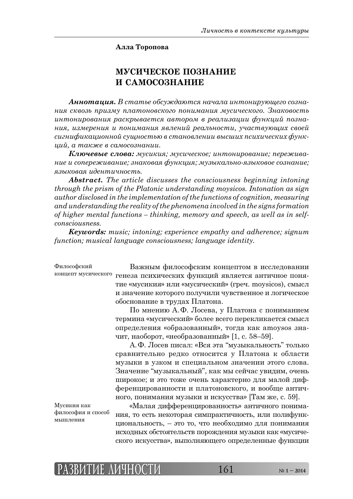**Алла Торопова**

## **МУСИЧЕСКОЕ ПОЗНАНИЕ И САМОСОЗНАНИЕ**

**Аннотация.** В статье обсуждаются начала интонирующего созна**ния сквозь призму платоновского понимания мусического. Знаковость** *ȖțȠȜțȖȞȜȐȎțȖȭ ȞȎȟȘȞȩȐȎȓȠȟȭ ȎȐȠȜȞȜȚ Ȑ ȞȓȎșȖȕȎȤȖȖ ȢȡțȘȤȖȗ ȝȜȕțȎ-* $\mu$ ил, измерения и понимания явлений реальности, участвующих своей  $\alpha$ игни $\beta$ ик $\alpha$ ционной сущностью в становлении высших психических  $\beta$ унк $y_i$ ий, а также в самосознании.

 $K$ лючевые слова: мусикия; мусическое; интонирование; пережива- $H$ *ние и сопереживание; знаковая функция; музыкально-языковое сознание; ȭȕȩȘȜȐȎȭ ȖȒȓțȠȖȥțȜȟȠȪ.* 

*Abstract. The article discusses the consciousness beginning intoning through the prism of the Platonic understanding moysicos. Intonation as sign author disclosed in the implementation of the functions of cognition, measuring and understanding the reality of the phenomena involved in the signs formation of higher mental functions – thinking, memory and speech, as well as in selfconsciousness.*

*Keywords: music; intoning; experience empathy and adherence; signum function; musical language consciousness; language identity.*

Философский

Важным философским концептом в исследовании концепт мусического генеза психических функций является античное понятие «мусикия» или «мусический» (греч. moysicos), смысл и значение которого получили чувственное и логическое обоснование в трудах Платона.

> По мнению А.Ф. Лосева, у Платона с пониманием термина «мусический» более всего перекликается смысл определения «образованный», тогда как amoysos значит, наоборот, «необразованный» [1, с. 58–59].

> А. Ф. Лосев писал: «Вся эта "музыкальность" только сравнительно редко относится у Платона к области музыки в узком и специальном значении этого слова. Значение "музыкальный", как мы сейчас увидим, очень широкое; и это тоже очень характерно для малой дифференцированности и платоновского, и вообще античного, понимания музыки и искусства» [Там же, с. 59].

Мусикия как философия и способ  $M$ ыш пения

«Малая дифференцированность» античного понимания, то есть некоторая симпрактичность, или полифункциональность, – это то, что необходимо для понимания исходных обстоятельств порождения музыки как «мусического искусства», выполняющего определенные функции

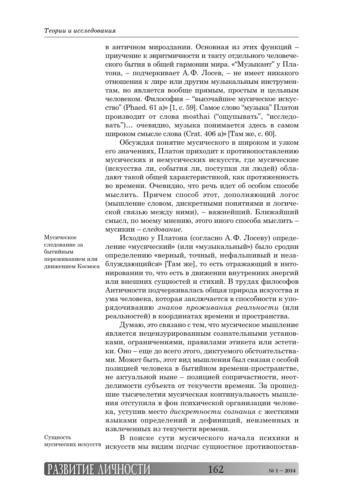в античном мироздании. Основная из этих функций – приучение к эвритмичности и такту отдельного человеческого бытия в общей гармонии мира. «"Музыкант" у Платона, – подчеркивает А.Ф. Лосев, – не имеет никакого отношения к лире или другим музыкальным инструментам, но является вообще прямым, простым и цельным человеком. Философия – "высочайшее мусическое искусство" (Phaed. 61 a)» [1, с. 59]. Самое слово "музыка" Платон производит от слова mosthai ("ощупывать", "исследовать")... очевидно, музыка понимается здесь в самом широком смысле слова (Crat. 406 a)» [Там же, с. 60].

Обсуждая понятие мусического в широком и узком его значениях, Платон приходит к противопоставлению мусических и немусических искусств, где мусические (искусства ли, события ли, поступки ли людей) обладают такой общей характеристикой, как протяженность во времени. Очевидно, что речь идет об особом способе мыслить. Причем способ этот, дополняющий логос (мышление словом, дискретными понятиями и логической связью между ними), – важнейший. Ближайший смысл, по моему мнению, этого иного способа мыслить – мусикии – *следование*.

Исходно у Платона (согласно А.Ф. Лосеву) определение «мусический» (или «музыкальный») было сродни определению «верный, точный, нефальшивый и незаблуждающийся» [Там же], то есть отражающий в интонировании то, что есть в движении внутренних энергий или внешних сущностей и стихий. В трудах философов Античности подчеркивалась общая природа искусства и ума человека, которая заключается в способности к упо-ȞȭȒȜȥȖȐȎțȖȬ *ȕțȎȘȜȐ ȝȞȜȔȖȐȎțȖȭ ȞȓȎșȪțȜȟȠȖ* (ȖșȖ реальностей) в координатах времени и пространства.

Думаю, это связано с тем, что мусическое мышление является нецензурированным сознательными установками, ограничениями, правилами этикета или эстетики. Оно – еще до всего этого, диктуемого обстоятельствами. Может быть, этот вид мышления был связан с особой позицией человека в бытийном времени-пространстве, не актуальной ныне – позицией сопричастности, неотделимости субъекта от текучести времени. За прошедшие тысячелетия мусическая континуальность мышления отступила в фон психической организации человека, уступив место дискретности сознания с жесткими языками определений и дефиниций, неизменных и извлеченных из текучести времени.

Мусическое следование за бытийным переживанием или движением Космоса

Сушность мусических искусств

В поиске сути мусического начала психики и искусств мы видим подчас сущностное противопостав-

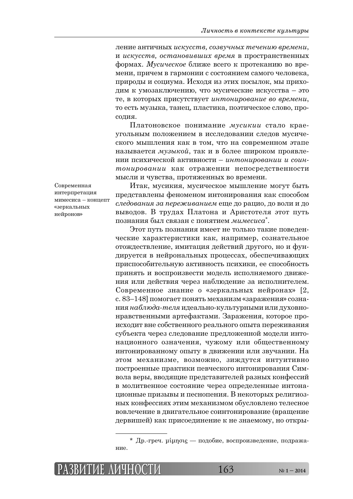$\pi$ ние античных искусств, созвучных течению времени, и искусств, остановивших время в пространственных формах. *Мусическое* ближе всего к протеканию во времени, причем в гармонии с состоянием самого человека, природы и социума. Исходя из этих посылок, мы приходим к умозаключению, что мусические искусства – это те, в которых присутствует интонирование во времени, то есть музыка, танец, пластика, поэтическое слово, просолия.

Платоновское понимание мусикии стало краеугольным положением в исследовании следов мусического мышления как в том, что на современном этапе называется *музыкой*, так и в более широком проявлении психической активности – интонировании и соинтонировании как отражении непосредственности мысли и чувства, протяженных во времени.

Современная интерпретация мимесиса – концепт «зеркальных нейронов»

Итак, мусикия, мусическое мышление могут быть представлены феноменом интонирования как способом следования за переживанием еще до рацио, до воли и до выводов. В трудах Платона и Аристотеля этот путь познания был связан с понятием *мимесиса*\*.

Этот путь познания имеет не только такие поведенческие характеристики как, например, сознательное отождествление, имитация действий другого, но и фундируется в нейрональных процессах, обеспечивающих приспособительную активность психики, ее способность принять и воспроизвести модель исполняемого движения или действия через наблюдение за исполнителем. Современное знание о «зеркальных нейронах» [2, с. 83–148] помогает понять механизм «заражения» сознания наблюда-теля идеально-культурными или духовнонравственными артефактами. Заражения, которое происходит вне собственного реального опыта переживания субъекта через следование предложенной модели интонационного означения, чужому или общественному интонированному опыту в движении или звучании. На этом механизме, возможно, зиждутся интуитивно построенные практики певческого интонирования Символа веры, вводящие представителей разных конфессий в молитвенное состояние через определенные интонационные призывы и песнопения. В некоторых религиозных конфессиях этим механизмом обусловлено телесное вовлечение в двигательное соинтонирование (вращение дервишей) как присоединение к не знаемому, но откры-

<sup>\*</sup> Др.-греч. µипоц — подобие, воспроизведение, подражание.

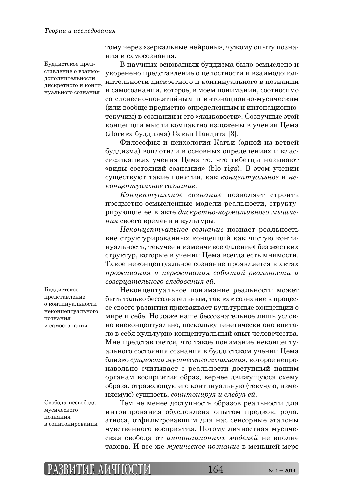Буддистское представление о взаимодополнительности дискретного и континуального сознания

тому через «зеркальные нейроны», чужому опыту познания и самосознания.

В научных основаниях буддизма было осмыслено и укоренено представление о целостности и взаимодополнительности дискретного и континуального в познании и самосознании, которое, в моем понимании, соотносимо со словесно-понятийным и интонационно-мусическим (или вообще предметно-определенным и интонационнотекучим) в сознании и его «языковости». Созвучные этой концепции мысли компактно изложены в учении Цема (Логика буддизма) Сакьи Пандита [3].

Философия и психология Кагьи (одной из ветвей буддизма) воплотили в основных определениях и классификациях учения Цема то, что тибетцы называют «виды состояний сознания» (blo rigs). В этом учении существуют такие понятия, как концептуальное и не- $K$  $\alpha$ *<sub><i>k***o** $\mu$ uenmyaльное сознание.</sub>

 $K$ *онцептуальное сознание* позволяет строить предметно-осмысленные модели реальности, структу-ȞȖȞȡȬȧȖȓ ȓȓ Ȑ ȎȘȠȓ *ȒȖȟȘȞȓȠțȜ-țȜȞȚȎȠȖȐțȜȑȜ ȚȩȦșȓ*ния своего времени и культуры.

Неконцептуальное сознание познает реальность вне структурированных концепций как чистую континуальность, текучее и изменчивое «дление» без жестких структур, которые в учении Цема всегда есть мнимости. Такое неконцептуальное сознание проявляется в актах  $np$ <sup>оживания</sup> и переживания событий реальности и  $\alpha$ *созерцательного следования ей*.

Неконцептуальное понимание реальности может быть только бессознательным, так как сознание в процессе своего развития присваивает культурные концепции о мире и себе. Но даже наше бессознательное лишь условно внеконцептуально, поскольку генетически оно впитало в себя культурно-концептуальный опыт человечества. Мне представляется, что такое понимание неконцептуального состояния сознания в буддистском учении Цема  $\delta$ лизко сущности мусического мышления, которое непроизвольно считывает с реальности доступный нашим органам восприятия образ, вернее движущуюся схему образа, отражающую его континуальную (текучую, измеțȭȓȚȡȬ) ȟȡȧțȜȟȠȪ, *ȟȜȖțȠȜțȖȞȡȭ Ȗ ȟșȓȒȡȭ ȓȗ*.

Тем не менее доступность образов реальности для интонирования обусловлена опытом предков, рода, этноса, отфильтровавшим для нас сенсорные эталоны чувственного восприятия. Потому личностная мусическая свобода от интонационных моделей не вполне

Буллистское представление о континуальности неконцептуального πознания и самосознания

Свобола-несвобола мусического познания в соинтонировании



такова. И все же *мусическое познание* в меньшей мере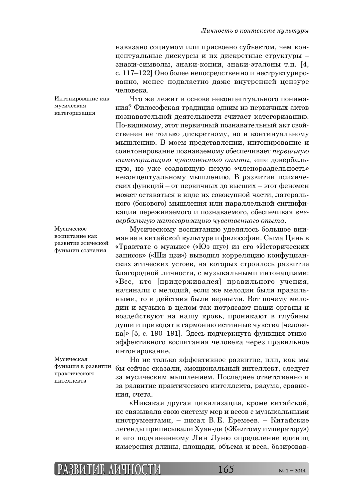навязано социумом или присвоено субъектом, чем концептуальные дискурсы и их дискретные структуры знаки-символы, знаки-копии, знаки-эталоны т.п. [4, с. 117–122] Оно более непосредственно и неструктурированно, менее подвластно даже внутренней цензуре человека.

Что же лежит в основе неконцептуального понимания? Философская традиция одним из первичных актов познавательной деятельности считает категоризацию. По-видимому, этот первичный познавательный акт свойственен не только дискретному, но и континуальному мышлению. В моем представлении, интонирование и соинтонирование познаваемому обеспечивает первичную категоризацию чувственного опыта, еще довербальную, но уже создающую некую «членораздельность» неконцептуальному мышлению. В развитии психических функций – от первичных до высших – этот феномен может оставаться в виде их совокупной части, латерального (бокового) мышления или параллельной сигнификации переживаемого и познаваемого, обеспечивая вне-*ȐȓȞȏȎșȪțȡȬ ȘȎȠȓȑȜȞȖȕȎȤȖȬ ȥȡȐȟȠȐȓțțȜȑȜ ȜȝȩȠȎ*. Интонирование как категоризация

> Мусическому воспитанию уделялось большое внимание в китайской культуре и философии. Сыма Цянь в «Трактате о музыке» («Юэ шу») из его «Исторических записок» («Ши цзи») выводил корреляцию конфуцианских этических устоев, на которых строилось развитие благородной личности, с музыкальными интонациями: «Все, кто [придерживался] правильного учения, начинали с мелодий, если же мелодии были правильными, то и действия были верными. Вот почему мелодии и музыка в целом так потрясают наши органы и воздействуют на нашу кровь, проникают в глубины души и приводят в гармонию истинные чувства [человека]» [5, с. 190–191]. Здесь подчеркнута функция этикоаффективного воспитания человека через правильное интонирование.

Мусическая функция в развитии практического интеллекта

Но не только аффективное развитие, или, как мы бы сейчас сказали, эмоциональный интеллект, следует за мусическим мышлением. Последнее ответственно и за развитие практического интеллекта, разума, сравнения. счета.

«Никакая другая цивилизация, кроме китайской, не связывала свою систему мер и весов с музыкальными инструментами, – писал В. Е. Еремеев. – Китайские легенды приписывали Хуан-ди («Желтому императору») и его подчиненному Лин Луню определение единиц измерения длины, площади, объема и веса, базировав-



мусическая

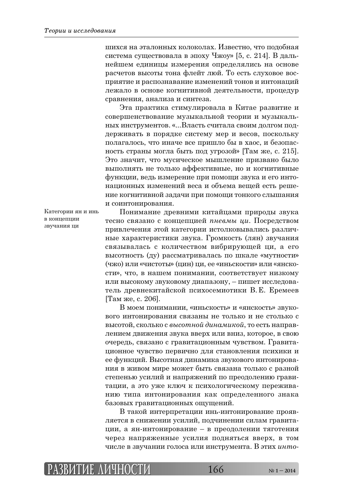шихся на эталонных колоколах. Известно, что подобная система существовала в эпоху Чжоу» [5, с. 214]. В дальнейшем единицы измерения определялись на основе расчетов высоты тона флейт люй. То есть слуховое восприятие и распознавание изменений тонов и интонаций лежало в основе когнитивной деятельности, процедур сравнения, анализа и синтеза.

Эта практика стимулировала в Китае развитие и совершенствование музыкальной теории и музыкальных инструментов. «...Власть считала своим долгом поддерживать в порядке систему мер и весов, поскольку полагалось, что иначе все пришло бы в хаос, и безопасность страны могла быть под угрозой» [Там же, с. 215]. Это значит, что мусическое мышление призвано было выполнять не только аффективные, но и когнитивные функции, ведь измерение при помощи звука и его интонационных изменений веса и объема вещей есть решение когнитивной задачи при помощи тонкого слышания и соинтонирования.

Категории ян и инь в концепции звучания ци

Понимание древними китайцами природы звука тесно связано с концепцией *пневмы ци*. Посредством привлечения этой категории истолковывались различные характеристики звука. Громкость (лян) звучания связывалась с количеством вибрирующей ци, а его высотность (ду) рассматривалась по шкале «мутности» (чжо) или «чистоты» (цин) ци, ее «иньскости» или «янскости», что, в нашем понимании, соответствует низкому или высокому звуковому диапазону, – пишет исследователь древнекитайской психосемиотики В.Е. Еремеев [Там же, с. 206].

В моем понимании, «иньскость» и «янскость» звукового интонирования связаны не только и не столько с высотой, сколько с высотной динамикой, то есть направлением движения звука вверх или вниз, которое, в свою очередь, связано с гравитационным чувством. Гравитационное чувство первично для становления психики и ее функций. Высотная динамика звукового интонирования в живом мире может быть связана только с разной степенью усилий и напряжений по преодолению гравитации, а это уже ключ к психологическому переживанию типа интонирования как определенного знака базовых гравитационных ощущений.

В такой интерпретации инь-интонирование проявляется в снижении усилий, подчинении силам гравитации, а ян-интонирование – в преодолении тяготения через напряженные усилия подняться вверх, в том числе в звучании голоса или инструмента. В этих инто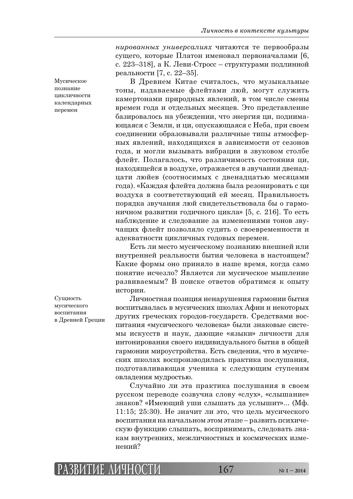*нированных универсалиях* читаются те первообразы сущего, которые Платон именовал первоначалами [6, с. 223–318], а К. Леви-Стросс – структурами подлинной реальности [7, с. 22–35].

В Древнем Китае считалось, что музыкальные тоны, издаваемые флейтами люй, могут служить камертонами природных явлений, в том числе смены времен года и отдельных месяцев. Это представление базировалось на убеждении, что энергия ци, поднимающаяся с Земли, и ци, опускающаяся с Неба, при своем соединении образовывали различные типы атмосферных явлений, находящихся в зависимости от сезонов года, и могли вызывать вибрации в звуковом столбе флейт. Полагалось, что различимость состояния ци, находящейся в воздухе, отражается в звучании двенадцати люйев (соотносимых с двенадцатью месяцами года). «Каждая флейта должна была резонировать с ци воздуха в соответствующий ей месяц. Правильность порядка звучания люй свидетельствовала бы о гармоничном развитии годичного цикла» [5, с. 216]. То есть наблюдение и следование за изменениями тонов звучащих флейт позволяло судить о своевременности и адекватности цикличных годовых перемен.

Есть ли место мусическому познанию внешней или внутренней реальности бытия человека в настоящем? Какие формы оно приняло в наше время, когда само понятие исчезло? Является ли мусическое мышление развиваемым? В поиске ответов обратимся к опыту истории.

Личностная позиция ненарушения гармонии бытия воспитывалась в мусических школах Афин и некоторых других греческих городов-государств. Средствами воспитания «мусического человека» были знаковые системы искусств и наук, дающие «языки» личности для интонирования своего индивидуального бытия в общей гармонии мироустройства. Есть сведения, что в мусических школах воспроизводилась практика послушания, подготавливающая ученика к следующим ступеням овладения мудростью.

Случайно ли эта практика послушания в своем русском переводе созвучна слову «слух», «слышание» знаков? «Имеющий уши слышать да услышит»... (Мф. 11:15; 25:30). Не значит ли это, что цель мусического воспитания на начальном этом этапе – развить психическую функцию слышать, воспринимать, следовать знакам внутренних, межличностных и космических изменений?

Мусическое познание тик пичности календарных теремен

Сущность мусического воспитания в Древней Греции

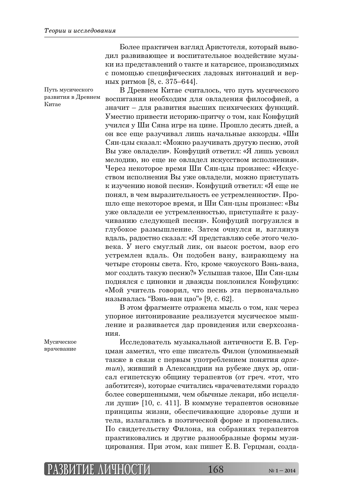Более практичен взгляд Аристотеля, который выводил развивающее и воспитательное воздействие музыки из представлений о такте и катарсисе, производимых с помощью специфических ладовых интонаций и верных ритмов [8, с. 375–644].

Путь мусического развития в Древнем Китае

В Древнем Китае считалось, что путь мусического воспитания необходим для овладения философией, а значит – для развития высших психических функций. Уместно привести историю-притчу о том, как Конфуций учился у Ши Сяна игре на цине. Прошло десять дней, а он все еще разучивал лишь начальные аккорды. «Ши Сян-цзы сказал: «Можно разучивать другую песню, этой Вы уже овладели». Конфуций ответил: «Я лишь усвоил мелодию, но еще не овладел искусством исполнения». Через некоторое время Ши Сян-цзы произнес: «Искусством исполнения Вы уже овладели, можно приступать к изучению новой песни». Конфуций ответил: «Я еще не понял, в чем выразительность ее устремленности». Прошло еще некоторое время, и Ши Сян-цзы произнес: «Вы уже овладели ее устремленностью, приступайте к разучиванию следующей песни». Конфуций погрузился в глубокое размышление. Затем очнулся и, взглянув вдаль, радостно сказал: «Я представляю себе этого человека. У него смуглый лик, он высок ростом, взор его устремлен вдаль. Он подобен вану, взирающему на четыре стороны света. Кто, кроме чжоуского Вэнь-вана, мог создать такую песню?» Услышав такое, Ши Сян-цзы поднялся с циновки и дважды поклонился Конфуцию: «Мой учитель говорил, что песнь эта первоначально называлась "Вэнь-ван цао"» [9, с. 62].

В этом фрагменте отражена мысль о том, как через упорное интонирование реализуется мусическое мышление и развивается дар провидения или сверхсознания.

Исследователь музыкальной античности Е.В. Герцман заметил, что еще писатель Филон (упоминаемый также в связи с первым употреблением понятия *археmun*), живший в Александрии на рубеже двух эр, описал египетскую общину терапевтов (от греч. «тот, что заботится»), которые считались «врачевателями гораздо более совершенными, чем обычные лекари, ибо исцеляли души» [10, с. 411]. В коммуне терапевтов основные принципы жизни, обеспечивающие здоровье души и тела, излагались в поэтической форме и пропевались. По свидетельству Филона, на собраниях терапевтов практиковались и другие разнообразные формы музицирования. При этом, как пишет Е.В. Герцман, созда-

Мусическое врачевание

## **РАЗВИТИЕ АЗВИТИЕ ЛИЧНОСТИ ИЧНОСТИ**168 **№ 1 – 2014**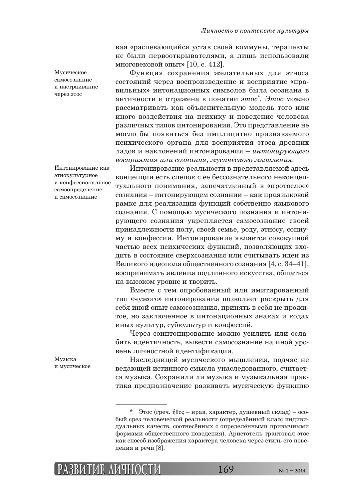вая «распевающийся устав своей коммуны, терапевты не были первооткрывателями, а лишь использовали многовековой опыт» [10, с. 412].

Функция сохранения желательных для этноса состояний через воспроизведение и восприятие «правильных» интонационных символов была осознана в античности и отражена в понятии этос\*. Этос можно рассматривать как объяснительную модель того или иного воздействия на психику и поведение человека различных типов интонирования. Это представление не могло бы появиться без имплицитно признаваемого психического органа для восприятия этоса древних ладов и наклонений интонирования – интонирующего  $\bm{\theta}$ осприятия или сознания, мусического мышления.

Интонирование реальности в представляемой здесь концепции есть слепок с ее бессознательного неконцептуального понимания, запечатленный в «протослое» сознания – интонирующем сознании – как праязыковой рамке для реализации функций собственно языкового сознания. С помощью мусического познания и интонирующего сознания укрепляется самосознание своей принадлежности полу, своей семье, роду, этносу, социуму и конфессии. Интонирование является совокупной частью всех психических функций, позволяющих входить в состояние сверхсознания или считывать идеи из Великого идеополя общественного сознания [4, с. 34–41], воспринимать явления подлинного искусства, общаться на высоком уровне и творить.

Вместе с тем опробованный или имитированный тип «чужого» интонирования позволяет раскрыть для себя иной опыт самосознания, принять в себя не прожитое, но заключенное в интонационных знаках и кодах иных культур, субкультур и конфессий.

Через соинтонирование можно усилить или ослабить идентичность, вывести самосознание на иной уровень личностной идентификации.

Наследницей мусического мышления, подчас не ведающей истинного смысла унаследованного, считается музыка. Сохранили ли музыка и музыкальная практика предназначение развивать мусическую функцию

Мусическое самосознание и настраивание через этос

Интонирование как этнокультурное и конфессиональное самоопределение и самосознание

Музыка и мусическое



 $*$  Этос (греч.  $\tilde{\eta} \theta$ о $\zeta$  – нрав, характер, душевный склад) – особый срез человеческой реальности (определённый класс индивидуальных качеств, соотнесённых с определёнными привычными формами общественного поведения). Аристотель трактовал этос как способ изображения характера человека через стиль его поведения и речи [8].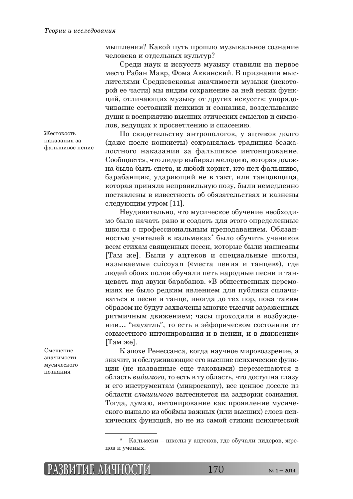мышления? Какой путь прошло музыкальное сознание человека и отдельных культур?

Среди наук и искусств музыку ставили на первое место Рабан Мавр, Фома Аквинский. В признании мыслителями Средневековья значимости музыки (некоторой ее части) мы видим сохранение за ней неких функций, отличающих музыку от других искусств: упорядочивание состояний психики и сознания, возделывание ДУШИ К ВОСПРИЯТИЮ ВЫСШИХ ЭТИЧЕСКИХ СМЫСЛОВ И СИМВОлов, ведущих к просветлению и спасению.

По свидетельству антропологов, у ацтеков долго (даже после конкисты) сохранялась традиция безжалостного наказания за фальшивое интонирование. Сообщается, что лидер выбирал мелодию, которая должна была быть спета, и любой хорист, кто пел фальшиво, барабанщик, ударяющий не в такт, или танцовщица, которая приняла неправильную позу, были немедленно поставлены в известность об обязательствах и казнены следующим утром [11].

Неудивительно, что мусическое обучение необходимо было начать рано и создать для этого определенные школы с профессиональным преподаванием. Обязанностью учителей в кальмеках<sup>\*</sup> было обучить учеников всем стихам священных песен, которые были написаны [Там же]. Были у ацтеков и специальные школы, называемые cuicoyan («места пения и танцев»), где людей обоих полов обучали петь народные песни и танцевать под звуки барабанов. «В общественных церемониях не было редким явлением для публики сплачиваться в песне и танце, иногда до тех пор, пока таким образом не будут захвачены многие тысячи зараженных ритмичным движением; часы проходили в возбуждении... "науатль", то есть в эйфорическом состоянии от совместного интонирования и в пении, и в движении»  $[Tam$  же].

К эпохе Ренессанса, когда научное мировоззрение, а значит, и обслуживающие его высшие психические функции (не названные еще таковыми) перемещаются в область *видимого*, то есть в ту область, что доступна глазу и его инструментам (микроскопу), все ценное доселе из области *слышимого* вытесняется на задворки сознания. Тогда, думаю, интонирование как проявление мусического выпало из обоймы важных (или высших) слоев психических функций, но не из самой стихии психической

Жестокость наказания за фальшивое пение

Смещение значимости мусического познания

Кальмеки – школы у ацтеков, где обучали лидеров, жрецов и ученых.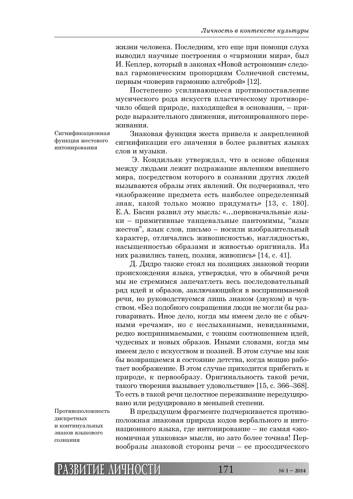жизни человека. Последним, кто еще при помощи слуха выводил научные построения о «гармонии мира», был И. Кеплер, который в законах «Новой астрономии» следовал гармоническим пропорциям Солнечной системы, первым «поверив гармонию алгеброй» [12].

Постепенно усиливающееся противопоставление мусического рода искусств пластическому противоречило общей природе, находящейся в основании, – природе выразительного движения, интонированного переживания.

Сигнификационная функция жестового интонирования

Знаковая функция жеста привела к закрепленной сигнификации его значения в более развитых языках слов и музыки.

Э. Кондильяк утверждал, что в основе общения между людьми лежит подражание явлениям внешнего мира, посредством которого в сознании других людей вызываются образы этих явлений. Он подчеркивал, что «изображение предмета есть наиболее определенный знак, какой только можно придумать» [13, с. 180]. Е. А. Басин развил эту мысль: «...первоначальные языки – примитивные танцевальные пантомимы, "язык жестов", язык слов, письмо – носили изобразительный характер, отличались живописностью, наглядностью, насыщенностью образами и живостью оригинала. Из них развились танец, поэзия, живопись» [14, с. 41].

Д. Дидро также стоял на позициях знаковой теории происхождения языка, утверждая, что в обычной речи мы не стремимся запечатлеть весь последовательный ряд идей и образов, заключающийся в воспринимаемой речи, но руководствуемся лишь знаком (звуком) и чувством. «Без подобного сокращения люди не могли бы разговаривать. Иное дело, когда мы имеем дело не с обычными «речами», но с неслыханными, невиданными, редко воспринимаемыми, с тонким соотношением идей, чудесных и новых образов. Иными словами, когда мы имеем дело с искусством и поэзией. В этом случае мы как бы возвращаемся в состояние детства, когда мощно работает воображение. В этом случае приходится прибегать к природе, к первообразу. Оригинальность такой речи, такого творения вызывает удовольствие» [15, с. 366–368]. То есть в такой речи целостное переживание нередуцировано или редуцировано в меньшей степени.

Противоположность дискретных и континуальных знаков языкового  $0.2$ 

В предыдущем фрагменте подчеркивается противоположная знаковая природа кодов вербального и интонационного языка, где интонирование – не самая «экономичная упаковка» мысли, но зато более точная! Первообразы знаковой стороны речи – ее просодического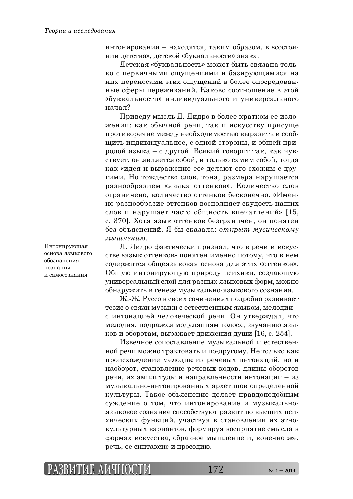интонирования – находятся, таким образом, в «состоянии детства», детской «буквальности» знака.

Детская «буквальность» может быть связана только с первичными ощущениями и базирующимися на них переносами этих ощущений в более опосредованные сферы переживаний. Каково соотношение в этой «буквальности» индивидуального и универсального  $H$ ачал $\gamma$ 

Приведу мысль Д. Дидро в более кратком ее изложении: как обычной речи, так и искусству присуще противоречие между необходимостью выразить и сообщить индивидуальное, с одной стороны, и общей природой языка – с другой. Всякий говорит так, как чувствует, он является собой, и только самим собой, тогда как «идея и выражение ее» делают его схожим с друтими. Но тождество слов, тона, размера нарушается разнообразием «языка оттенков». Количество слов ограничено, количество оттенков бесконечно. «Именно разнообразие оттенков восполняет скудость наших слов и нарушает часто общность впечатлений» [15, с. 370]. Хотя язык оттенков безграничен, он понятен без объяснений. Я бы сказала: открыт мусическому *<u>МЫШЛЕНИЮ</u>* 

Интонирующая основа языкового обозначения, познания и самосознания

Д. Дидро фактически признал, что в речи и искусстве «язык оттенков» понятен именно потому, что в нем содержится общеязыковая основа для этих «оттенков». Общую интонирующую природу психики, создающую универсальный слой для разных языковых форм, можно обнаружить в генезе музыкально-языкового сознания.

Ж.-Ж. Руссо в своих сочинениях подробно развивает тезис о связи музыки с естественным языком, мелодии – с интонацией человеческой речи. Он утверждал, что мелодия, подражая модуляциям голоса, звучанию языков и оборотам, выражает движения души [16, с. 254].

Извечное сопоставление музыкальной и естественной речи можно трактовать и по-другому. Не только как происхождение мелодик из речевых интонаций, но и наоборот, становление речевых кодов, длины оборотов речи, их амплитуды и направленности интонации – из музыкально-интонированных архетипов определенной культуры. Такое объяснение делает правдоподобным суждение о том, что интонирование и музыкальноязыковое сознание способствуют развитию высших психических функций, участвуя в становлении их этнокультурных вариантов, формируя восприятие смысла в формах искусства, образное мышление и, конечно же, речь, ее синтаксис и просодию.

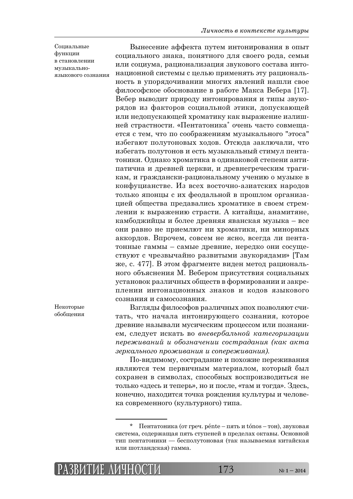Социальные функции в становлении музыкальноязыкового сознания

Вынесение аффекта путем интонирования в опыт социального знака, понятного для своего рода, семьи или социума, рационализация звукового состава интонационной системы с целью применять эту рациональность в упорядочивании многих явлений нашли свое философское обоснование в работе Макса Вебера [17]. Вебер выводит природу интонирования и типы звукорядов из факторов социальной этики, допускающей или недопускающей хроматику как выражение излишней страстности. «Пентатоника<sup>\*</sup> очень часто совмещается с тем, что по соображениям музыкального "этоса" избегают полутоновых ходов. Отсюда заключали, что избегать полутонов и есть музыкальный стимул пентатоники. Однако хроматика в одинаковой степени антипатична и древней церкви, и древнегреческим трагикам, и граждански-рациональному учению о музыке в конфуцианстве. Из всех восточно-азиатских народов только японцы с их феодальной в прошлом организацией общества предавались хроматике в своем стремлении к выражению страсти. А китайцы, анамитяне, камбоджийцы и более древняя яванская музыка – все они равно не приемлют ни хроматики, ни минорных аккордов. Впрочем, совсем не ясно, всегда ли пентатонные гаммы – самые древние, нередко они сосуществуют с чрезвычайно развитыми звукорядами» [Там же, с. 477]. В этом фрагменте виден метод рационального объяснения М. Вебером присутствия социальных установок различных обществ в формировании и закреплении интонационных знаков и кодов языкового сознания и самосознания.

Некоторые обобщения

Взгляды философов различных эпох позволяют считать, что начала интонирующего сознания, которое древние называли мусическим процессом или познанием, следует искать во вневербальной категоризации  $n$ ереживаний и обозначении сострадания (как акта *ȕȓȞȘȎșȪțȜȑȜ ȝȞȜȔȖȐȎțȖȭ Ȗ ȟȜȝȓȞȓȔȖȐȎțȖȭ).* 

По-видимому, сострадание и похожие переживания являются тем первичным материалом, который был сохранен в символах, способных воспроизводиться не только «здесь и теперь», но и после, «там и тогда». Здесь, конечно, находится точка рождения культуры и человека современного (культурного) типа.

 $\Pi$ ентатоника (от греч. pénte – пять и tónos – тон), звуковая система, содержащая пять ступеней в пределах октавы. Основной тип пентатоники — бесполутоновая (так называемая китайская или шотландская) гамма.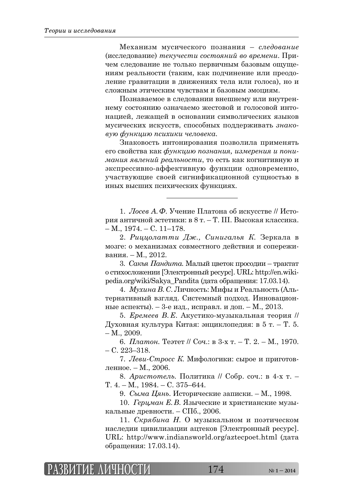Механизм мусического познания – *следование* (ȖȟȟșȓȒȜȐȎțȖȓ) *ȠȓȘȡȥȓȟȠȖ ȟȜȟȠȜȭțȖȗ ȐȜ ȐȞȓȚȓțȖ*. ǽȞȖчем следование не только первичным базовым ощущениям реальности (таким, как подчинение или преодоление гравитации в движениях тела или голоса), но и сложным этическим чувствам и базовым эмоциям.

Познаваемое в следовании внешнему или внутреннему состоянию означаемо жестовой и голосовой интонацией, лежащей в основании символических языков мусических искусств, способных поддерживать знако-*ȐȡȬ ȢȡțȘȤȖȬ ȝȟȖȣȖȘȖ ȥȓșȜȐȓȘȎ*.

Знаковость интонирования позволила применять его свойства как функцию познания, измерения и пони*мания явлений реальности*, то есть как когнитивную и экспрессивно-аффективную функции одновременно, участвующие своей сигнификационной сущностью в иных высших психических функциях.

1. *Лосев* А.Ф. Учение Платона об искусстве // История античной эстетики: в 8 т. – Т. III. Высокая классика.  $- M., 1974. - C., 11-178.$ 

2. Риццолатти Дж., Синигалья К. Зеркала в мозге: о механизмах совместного действия и сопереживания. – М., 2012.

3. Сакья Пандита. Малый цветок просодии – трактат о стихосложении [Электронный ресурс]. URL: http://en.wikipedia.org/wiki/Sakya Pandita (дата обращения: 17.03.14).

4. *Мухина В. С. Личность: Мифы и Реальность (Аль*тернативный взгляд. Системный подход. Инновационные аспекты). – 3-е изд., исправл. и доп. – М., 2013.

5. *Еремеев В.Е.* Акустико-музыкальная теория // Духовная культура Китая: энциклопедия: в 5 т. – Т. 5.  $- M_{\odot} 2009.$ 

6. *Платон*. Теэтет // Соч.: в 3-х т. – Т. 2. – М., 1970.  $- C. 223 - 318.$ 

7. *Леви-Стросс К*. Мифологики: сырое и приготовленное. – М., 2006.

8. *Аристотель*. Политика // Собр. соч.: в 4-х т. − T.  $4. - M$ ., 1984. – C. 375–644.

9. *Сыма Цянь*. Исторические записки. – М., 1998.

10. *Герцман Е.В.* Языческие и христианские музыкальные древности. – СПб., 2006.

11. *Скрябина Н.* О музыкальном и поэтическом наследии цивилизации ацтеков [Электронный ресурс]. URL: http://www.indiansworld.org/aztecpoet.html (дата обращения: 17.03.14).